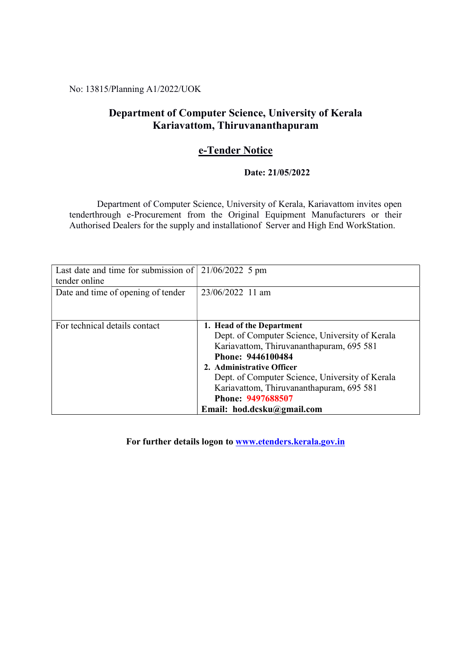No: 13815/Planning A1/2022/UOK

## Department of Computer Science, University of Kerala Kariavattom, Thiruvananthapuram

## e-Tender Notice

### Date: 21/05/2022

 Department of Computer Science, University of Kerala, Kariavattom invites open tenderthrough e-Procurement from the Original Equipment Manufacturers or their Authorised Dealers for the supply and installationof Server and High End WorkStation.

| Last date and time for submission of $\vert$ 21/06/2022 5 pm<br>tender online |                                                                                                                                                                                                                                                                                                                              |
|-------------------------------------------------------------------------------|------------------------------------------------------------------------------------------------------------------------------------------------------------------------------------------------------------------------------------------------------------------------------------------------------------------------------|
| Date and time of opening of tender                                            | 23/06/2022 11 am                                                                                                                                                                                                                                                                                                             |
| For technical details contact                                                 | 1. Head of the Department<br>Dept. of Computer Science, University of Kerala<br>Kariavattom, Thiruvananthapuram, 695 581<br>Phone: 9446100484<br>2. Administrative Officer<br>Dept. of Computer Science, University of Kerala<br>Kariavattom, Thiruvananthapuram, 695 581<br>Phone: 9497688507<br>Email: hod.dcsku@gmail.com |

For further details logon to www.etenders.kerala.gov.in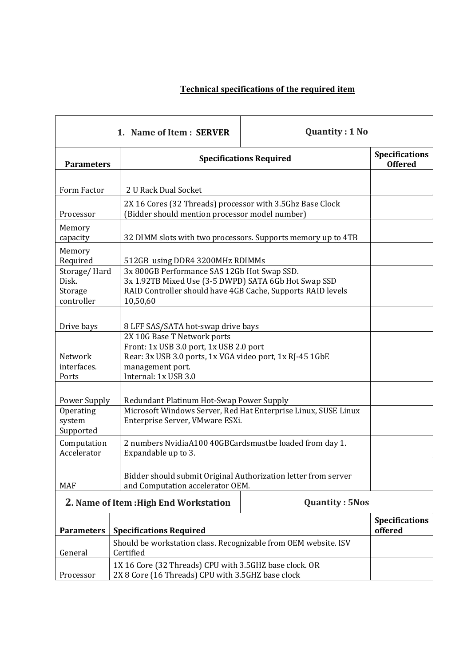# Technical specifications of the required item

|                                                | 1. Name of Item: SERVER                                                                                                                                                        | <b>Quantity: 1 No</b>                                        |                                         |
|------------------------------------------------|--------------------------------------------------------------------------------------------------------------------------------------------------------------------------------|--------------------------------------------------------------|-----------------------------------------|
| <b>Parameters</b>                              | <b>Specifications Required</b>                                                                                                                                                 |                                                              | <b>Specifications</b><br><b>Offered</b> |
| Form Factor                                    | 2 U Rack Dual Socket                                                                                                                                                           |                                                              |                                         |
| Processor                                      | 2X 16 Cores (32 Threads) processor with 3.5Ghz Base Clock<br>(Bidder should mention processor model number)                                                                    |                                                              |                                         |
| Memory<br>capacity                             |                                                                                                                                                                                | 32 DIMM slots with two processors. Supports memory up to 4TB |                                         |
| Memory<br>Required                             | 512GB using DDR4 3200MHz RDIMMs                                                                                                                                                |                                                              |                                         |
| Storage/Hard<br>Disk.<br>Storage<br>controller | 3x 800GB Performance SAS 12Gb Hot Swap SSD.<br>3x 1.92TB Mixed Use (3-5 DWPD) SATA 6Gb Hot Swap SSD<br>RAID Controller should have 4GB Cache, Supports RAID levels<br>10,50,60 |                                                              |                                         |
| Drive bays                                     | 8 LFF SAS/SATA hot-swap drive bays                                                                                                                                             |                                                              |                                         |
| Network<br>interfaces.<br>Ports                | 2X 10G Base T Network ports<br>Front: 1x USB 3.0 port, 1x USB 2.0 port<br>Rear: 3x USB 3.0 ports, 1x VGA video port, 1x RJ-45 1GbE<br>management port.<br>Internal: 1x USB 3.0 |                                                              |                                         |
| Power Supply                                   | Redundant Platinum Hot-Swap Power Supply                                                                                                                                       |                                                              |                                         |
| Operating<br>system<br>Supported               | Microsoft Windows Server, Red Hat Enterprise Linux, SUSE Linux<br>Enterprise Server, VMware ESXi.                                                                              |                                                              |                                         |
| Computation<br>Accelerator                     | 2 numbers NvidiaA100 40GBCardsmustbe loaded from day 1.<br>Expandable up to 3.                                                                                                 |                                                              |                                         |
| <b>MAF</b>                                     | Bidder should submit Original Authorization letter from server<br>and Computation accelerator OEM.                                                                             |                                                              |                                         |
| 2. Name of Item : High End Workstation         | <b>Quantity: 5Nos</b>                                                                                                                                                          |                                                              |                                         |
| <b>Parameters</b>                              | <b>Specifications Required</b>                                                                                                                                                 |                                                              | <b>Specifications</b><br>offered        |
| General                                        | Should be workstation class. Recognizable from OEM website. ISV<br>Certified                                                                                                   |                                                              |                                         |
| Processor                                      | 1X 16 Core (32 Threads) CPU with 3.5GHZ base clock. OR<br>2X 8 Core (16 Threads) CPU with 3.5GHZ base clock                                                                    |                                                              |                                         |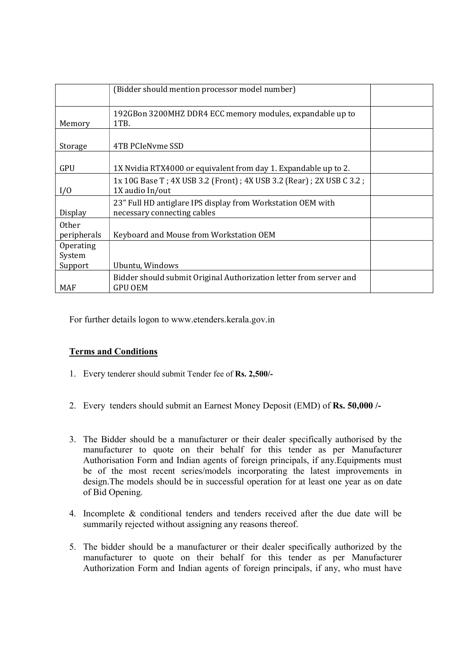|              | (Bidder should mention processor model number)                      |  |
|--------------|---------------------------------------------------------------------|--|
|              |                                                                     |  |
|              | 192GBon 3200MHZ DDR4 ECC memory modules, expandable up to           |  |
| Memory       | 1TB.                                                                |  |
|              |                                                                     |  |
| Storage      | 4TB PCIeNyme SSD                                                    |  |
|              |                                                                     |  |
| GPU          | 1X Nvidia RTX4000 or equivalent from day 1. Expandable up to 2.     |  |
|              | 1x 10G Base T; 4X USB 3.2 (Front); 4X USB 3.2 (Rear); 2X USB C 3.2; |  |
| I/O          | 1X audio In/out                                                     |  |
|              | 23" Full HD antiglare IPS display from Workstation OEM with         |  |
| Display      | necessary connecting cables                                         |  |
| <b>Other</b> |                                                                     |  |
| peripherals  | Keyboard and Mouse from Workstation OEM                             |  |
| Operating    |                                                                     |  |
| System       |                                                                     |  |
| Support      | Ubuntu, Windows                                                     |  |
|              | Bidder should submit Original Authorization letter from server and  |  |
| MAF          | GPU OEM                                                             |  |

For further details logon to www.etenders.kerala.gov.in

### Terms and Conditions

- 1. Every tenderer should submit Tender fee of Rs. 2,500/-
- 2. Every tenders should submit an Earnest Money Deposit (EMD) of Rs. 50,000 /-
- 3. The Bidder should be a manufacturer or their dealer specifically authorised by the manufacturer to quote on their behalf for this tender as per Manufacturer Authorisation Form and Indian agents of foreign principals, if any.Equipments must be of the most recent series/models incorporating the latest improvements in design.The models should be in successful operation for at least one year as on date of Bid Opening.
- 4. Incomplete & conditional tenders and tenders received after the due date will be summarily rejected without assigning any reasons thereof.
- 5. The bidder should be a manufacturer or their dealer specifically authorized by the manufacturer to quote on their behalf for this tender as per Manufacturer Authorization Form and Indian agents of foreign principals, if any, who must have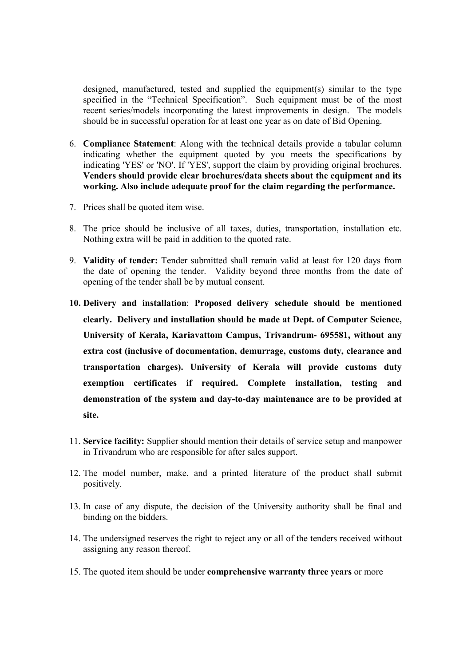designed, manufactured, tested and supplied the equipment(s) similar to the type specified in the "Technical Specification". Such equipment must be of the most recent series/models incorporating the latest improvements in design. The models should be in successful operation for at least one year as on date of Bid Opening.

- 6. Compliance Statement: Along with the technical details provide a tabular column indicating whether the equipment quoted by you meets the specifications by indicating 'YES' or 'NO'. If 'YES', support the claim by providing original brochures. Venders should provide clear brochures/data sheets about the equipment and its working. Also include adequate proof for the claim regarding the performance.
- 7. Prices shall be quoted item wise.
- 8. The price should be inclusive of all taxes, duties, transportation, installation etc. Nothing extra will be paid in addition to the quoted rate.
- 9. Validity of tender: Tender submitted shall remain valid at least for 120 days from the date of opening the tender. Validity beyond three months from the date of opening of the tender shall be by mutual consent.
- 10. Delivery and installation: Proposed delivery schedule should be mentioned clearly. Delivery and installation should be made at Dept. of Computer Science, University of Kerala, Kariavattom Campus, Trivandrum- 695581, without any extra cost (inclusive of documentation, demurrage, customs duty, clearance and transportation charges). University of Kerala will provide customs duty exemption certificates if required. Complete installation, testing and demonstration of the system and day-to-day maintenance are to be provided at site.
- 11. Service facility: Supplier should mention their details of service setup and manpower in Trivandrum who are responsible for after sales support.
- 12. The model number, make, and a printed literature of the product shall submit positively.
- 13. In case of any dispute, the decision of the University authority shall be final and binding on the bidders.
- 14. The undersigned reserves the right to reject any or all of the tenders received without assigning any reason thereof.
- 15. The quoted item should be under comprehensive warranty three years or more